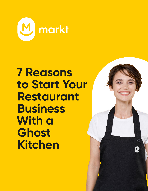

## **7 Reasons to Start Your Restaurant Business With a Ghost Kitchen**

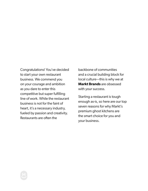Congratulations! You've decided to start your own restaurant business. We commend you on your courage and ambition as you dare to enter this competitive but super fulfilling line of work. While the restaurant business is not for the faint of heart, it's a necessary industry, fueled by passion and creativity. Restaurants are often the

backbone of communities and a crucial building block for local culture—this is why we at **Markt Brands** are obsessed with your success.

Starting a restaurant is tough enough as-is, so here are our top seven reasons for why Markt's premium ghost kitchens are the smart choice for you and your business.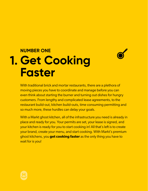## **NUMBER ONE 1. Get Cooking Faster**



With traditional brick and mortar restaurants, there are a plethora of moving pieces you have to coordinate and manage before you can even think about starting the burner and turning out dishes for hungry customers. From lengthy and complicated lease agreements, to the restaurant build-out, kitchen build-outs, time consuming permitting and so much more, these hurdles can delay your goals.

With a Markt ghost kitchen, all of the infrastructure you need is already in place and ready for you. Your permits are set, your lease is signed, and your kitchen is ready for you to start cooking in! All that's left is to create your brand, create your menu, and start cooking. With Markt's premium ghost kitchens, you **get cooking faster** as the only thing you have to wait for is you!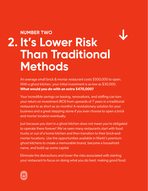## **NUMBER TWO It's Lower Risk 2.Than Traditional Methods**

An average small brick & mortar restaurant costs \$500,000 to open. With a ghost kitchen, your initial investment is as low as \$30,000. **What would you do with an extra \$470,000?** 

Your incredible savings on leasing, renovations, and staffing can turn your return on investment (ROI) from upwards of 7 years in a traditional restaurant to as short as six months! A revolutionary solution for your business and a great stepping stone if you ever choose to open a brick and mortar location eventually.

Just because you start in a ghost kitchen does not mean you're obligated to operate there forever! We've seen many restaurants start with food trucks or out of a home kitchen and then transition to their brick-andmortar locations. Use the opportunities available in Markt's premium ghost kitchens to create a memorable brand, become a household name, and build up some capital.

Eliminate the distractions and lower the risks associated with starting your restaurant to focus on doing what you do best: making good food.

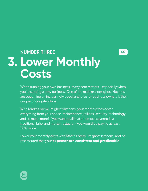**\$\$**

## **NUMBER THREE Lower Monthly 3.Costs**

When running your own business, every cent matters—especially when you're starting a new business. One of the main reasons ghost kitchens are becoming an increasingly popular choice for business owners is their unique pricing structure.

With Markt's premium ghost kitchens, your monthly fees cover everything from your space, maintenance, utilities, security, technology and so much more! If you wanted all that and more covered in a traditional brick and mortar restaurant you would be paying at least 30% more.

Lower your monthly costs with Markt's premium ghost kitchens, and be rest assured that your **expenses are consistent and predictable**.

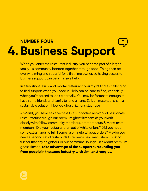### **NUMBER FOUR 4. Business Support** ?

When you enter the restaurant industry, you become part of a larger family—a community bonded together through food. Things can be overwhelming and stressful for a first-time owner, so having access to business support can be a massive help.

In a traditional brick-and-mortar restaurant, you might find it challenging to find support when you need it. Help can be hard to find, especially when you're forced to look externally. You may be fortunate enough to have some friends and family to lend a hand. Still, ultimately, this isn't a sustainable solution. How do ghost kitchens stack up?

At Markt, you have easier access to a supportive network of passionate restaurateurs through our premium ghost kitchens as you work closely with fellow community members, entrepreneurs & Markt team members. Did your restaurant run out of white onions? Did you need some extra hands to fulfill some last-minute takeout orders? Maybe you need a second set of taste buds to review a new menu item. Look no further than thy neighbour or our communal lounge! In a Markt premium ghost kitchen, **take advantage of the support surrounding you from people in the same industry with similar struggles.**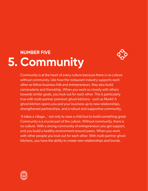### **NUMBER FIVE 5. Community**



Community is at the heart of every culture because there is no culture without community. Like how the restaurant industry supports each other as fellow business folk and entrepreneurs, they also build camaraderie and friendship. When you work so closely with others towards similar goals, you look out for each other. This is particularly true with multi-partner premium ghost kitchens - such as Markt! A ghost kitchen opens you and your business up to new relationships, strengthened partnerships, and a robust and supportive community.

'It takes a village...' not only to raise a child but to build something great. Community is a crucial part of the culture. Without community, there is no culture. With a strong community of entrepreneurs you get support, and you build a healthy environment around peers. When you work with other people you look out for each other. With multi-partner ghost kitchens, you have the ability to create new relationships and bonds.

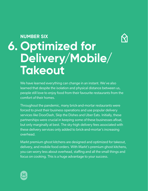#### **NUMBER SIX**



# **Optimized for 6.Delivery/Mobile/ Takeout**

We have learned everything can change in an instant. We've also learned that despite the isolation and physical distance between us, people still love to enjoy food from their favourite restaurants from the comfort of their homes.

Throughout the pandemic, many brick-and-mortar restaurants were forced to pivot their business operations and use popular delivery services like DoorDash, Skip the Dishes and Uber Eats. Initially, these partnerships were crucial in keeping some of these businesses afloat, but only marginally at best. The sky-high delivery fees associated with these delivery services only added to brick-and-mortar's increasing overhead.

Markt premium ghost kitchens are designed and optimized for takeout, delivery, and mobile food orders. With Markt's premium ghost kitchens, you can worry less about overhead, staffing and all the small things and focus on cooking. This is a huge advantage to your success.

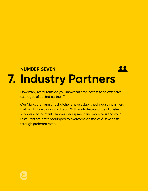## **NUMBER SEVEN 7. Industry Partners**

How many restaurants do you know that have access to an extensive catalogue of trusted partners?

Our Markt premium ghost kitchens have established industry partners that would love to work with you. With a whole catalogue of trusted suppliers, accountants, lawyers, equipment and more, you and your restaurant are better equipped to overcome obstacles & save costs through preferred rates.

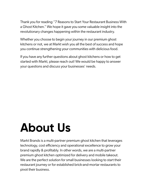Thank you for reading "7 Reasons to Start Your Restaurant Business With a Ghost Kitchen." We hope it gave you some valuable insight into the revolutionary changes happening within the restaurant industry.

Whether you choose to begin your journey in our premium ghost kitchens or not, we at Markt wish you all the best of success and hope you continue strengthening your communities with delicious food.

If you have any further questions about ghost kitchens or how to get started with Markt, please reach out! We would be happy to answer your questions and discuss your businesses' needs.

## **About Us**

Markt Brands is a multi-partner premium ghost kitchen that leverages technology, cost efficiency and operational excellence to grow your brand rapidly & profitably. In other words, we are a multi-partner premium ghost kitchen optimized for delivery and mobile takeout. We are the perfect solution for small businesses looking to start their restaurant journey or for established brick-and-mortar restaurants to pivot their business.